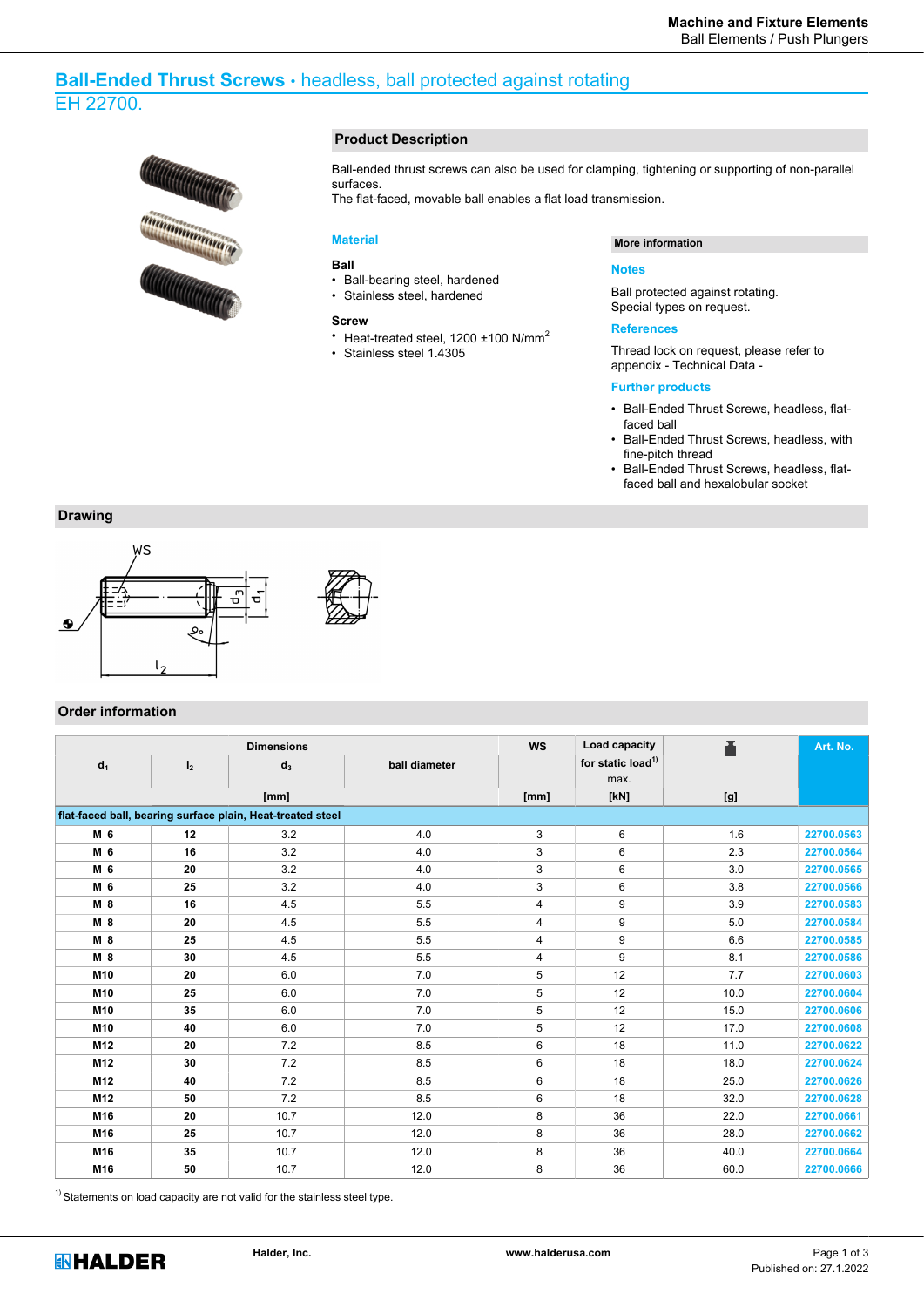# **Ball-Ended Thrust Screws** • headless, ball protected against rotating EH 22700.



### **Product Description**

Ball-ended thrust screws can also be used for clamping, tightening or supporting of non-parallel surfaces.

The flat-faced, movable ball enables a flat load transmission.

## **Material**

#### **Ball**

- Ball-bearing steel, hardened
- Stainless steel, hardened

## **Screw**

- Heat-treated steel,  $1200 + 100$  N/mm<sup>2</sup>
- Stainless steel 1.4305

### **More information**

#### **Notes**

Ball protected against rotating. Special types on request.

#### **References**

Thread lock on request, please refer to appendix - Technical Data -

#### **Further products**

- Ball-Ended Thrust Screws, headless, flatfaced ball
- Ball-Ended Thrust Screws, headless, with fine-pitch thread
- Ball-Ended Thrust Screws, headless, flatfaced ball and hexalobular socket

## **Drawing**



# **Order information**

|                                                            | <b>Dimensions</b> |       | <b>WS</b>     | Load capacity  |                               | Art. No. |            |  |  |  |  |
|------------------------------------------------------------|-------------------|-------|---------------|----------------|-------------------------------|----------|------------|--|--|--|--|
| d <sub>1</sub>                                             | I <sub>2</sub>    | $d_3$ | ball diameter |                | for static load <sup>1)</sup> |          |            |  |  |  |  |
|                                                            |                   |       |               |                | max.                          |          |            |  |  |  |  |
|                                                            |                   | [mm]  |               | [mm]           | [kN]                          | [g]      |            |  |  |  |  |
| flat-faced ball, bearing surface plain, Heat-treated steel |                   |       |               |                |                               |          |            |  |  |  |  |
| M 6                                                        | 12                | 3.2   | 4.0           | 3              | 6                             | 1.6      | 22700.0563 |  |  |  |  |
| M 6                                                        | 16                | 3.2   | 4.0           | 3              | 6                             | 2.3      | 22700.0564 |  |  |  |  |
| M 6                                                        | 20                | 3.2   | 4.0           | 3              | 6                             | 3.0      | 22700.0565 |  |  |  |  |
| M 6                                                        | 25                | 3.2   | 4.0           | 3              | 6                             | 3.8      | 22700.0566 |  |  |  |  |
| M 8                                                        | 16                | 4.5   | 5.5           | 4              | 9                             | 3.9      | 22700.0583 |  |  |  |  |
| M 8                                                        | 20                | 4.5   | 5.5           | 4              | 9                             | 5.0      | 22700.0584 |  |  |  |  |
| M 8                                                        | 25                | 4.5   | 5.5           | $\overline{4}$ | 9                             | 6.6      | 22700.0585 |  |  |  |  |
| M <sub>8</sub>                                             | 30                | 4.5   | 5.5           | 4              | 9                             | 8.1      | 22700.0586 |  |  |  |  |
| M10                                                        | 20                | 6.0   | 7.0           | 5              | 12                            | 7.7      | 22700.0603 |  |  |  |  |
| M10                                                        | 25                | 6.0   | 7.0           | 5              | 12                            | 10.0     | 22700.0604 |  |  |  |  |
| M10                                                        | 35                | 6.0   | 7.0           | 5              | 12                            | 15.0     | 22700.0606 |  |  |  |  |
| M10                                                        | 40                | 6.0   | 7.0           | 5              | 12                            | 17.0     | 22700.0608 |  |  |  |  |
| M <sub>12</sub>                                            | 20                | 7.2   | 8.5           | 6              | 18                            | 11.0     | 22700.0622 |  |  |  |  |
| M12                                                        | 30                | 7.2   | 8.5           | 6              | 18                            | 18.0     | 22700.0624 |  |  |  |  |
| M12                                                        | 40                | 7.2   | 8.5           | 6              | 18                            | 25.0     | 22700.0626 |  |  |  |  |
| M12                                                        | 50                | 7.2   | 8.5           | 6              | 18                            | 32.0     | 22700.0628 |  |  |  |  |
| M16                                                        | 20                | 10.7  | 12.0          | 8              | 36                            | 22.0     | 22700.0661 |  |  |  |  |
| M16                                                        | 25                | 10.7  | 12.0          | 8              | 36                            | 28.0     | 22700.0662 |  |  |  |  |
| M16                                                        | 35                | 10.7  | 12.0          | 8              | 36                            | 40.0     | 22700.0664 |  |  |  |  |
| M16                                                        | 50                | 10.7  | 12.0          | 8              | 36                            | 60.0     | 22700.0666 |  |  |  |  |

 $1)$  Statements on load capacity are not valid for the stainless steel type.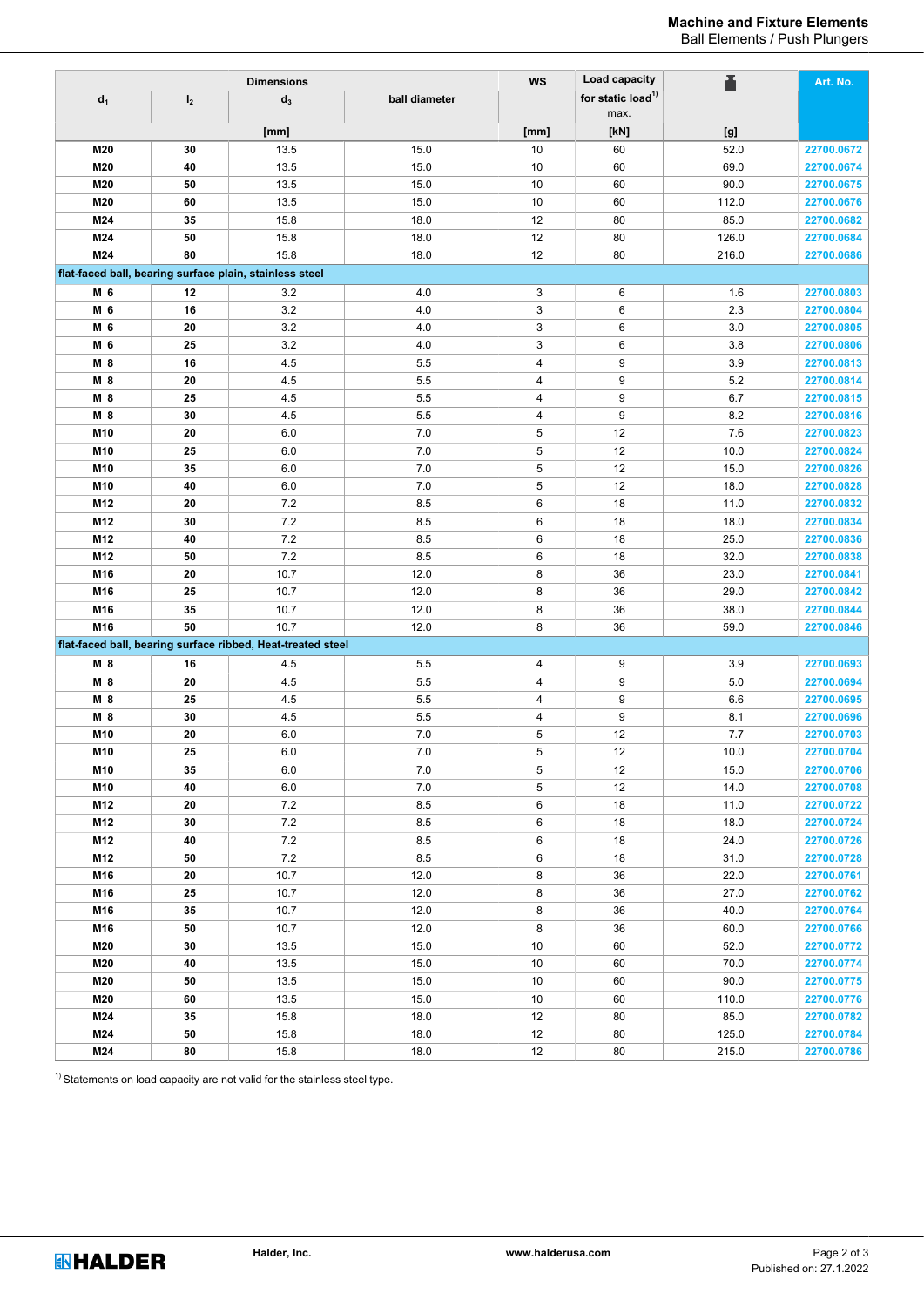# **Machine and Fixture Elements**

Ball Elements / Push Plungers

| <b>Dimensions</b> |                |                                                             |               | <b>WS</b> | Load capacity                         |       | Art. No.                 |
|-------------------|----------------|-------------------------------------------------------------|---------------|-----------|---------------------------------------|-------|--------------------------|
| $d_1$             | I <sub>2</sub> | $d_3$                                                       | ball diameter |           | for static load <sup>1)</sup><br>max. |       |                          |
|                   |                | [mm]                                                        |               | [mm]      | [kN]                                  | [g]   |                          |
| M20               | 30             | 13.5                                                        | 15.0          | 10        | 60                                    | 52.0  | 22700.0672               |
| M20               | 40             | 13.5                                                        | 15.0          | 10        | 60                                    | 69.0  | 22700.0674               |
| M20               | 50             | 13.5                                                        | 15.0          | 10        | 60                                    | 90.0  | 22700.0675               |
| M20               | 60             | 13.5                                                        | 15.0          | 10        | 60                                    | 112.0 | 22700.0676               |
| M24               | 35             | 15.8                                                        | 18.0          | 12        | 80                                    | 85.0  | 22700.0682               |
| M24               | 50             | 15.8                                                        | 18.0          | 12        | 80                                    | 126.0 | 22700.0684               |
| M24               | 80             | 15.8                                                        | 18.0          | 12        | 80                                    | 216.0 | 22700.0686               |
|                   |                | flat-faced ball, bearing surface plain, stainless steel     |               |           |                                       |       |                          |
| M 6               | 12             | 3.2                                                         | 4.0           | 3         | 6                                     | 1.6   | 22700.0803               |
| M 6               | 16             | 3.2                                                         | 4.0           | 3         | 6                                     | 2.3   | 22700.0804               |
| M 6               | 20             | 3.2                                                         | 4.0           | 3         | 6                                     | 3.0   | 22700.0805               |
| M 6               | 25             | 3.2                                                         | 4.0           | 3         | 6                                     | 3.8   | 22700.0806               |
| M 8               | 16             | 4.5                                                         | 5.5           | 4         | 9                                     | 3.9   | 22700.0813               |
|                   | 20             | 4.5                                                         | 5.5           |           | 9                                     | 5.2   |                          |
| M 8               | 25             | 4.5                                                         | 5.5           | 4<br>4    | 9                                     | 6.7   | 22700.0814<br>22700.0815 |
| M 8<br>M 8        | 30             | 4.5                                                         | 5.5           | 4         | 9                                     | 8.2   | 22700.0816               |
| M10               | 20             | 6.0                                                         | 7.0           | 5         | 12                                    | 7.6   | 22700.0823               |
|                   |                | 6.0                                                         | 7.0           | 5         | 12                                    | 10.0  | 22700.0824               |
| M10<br>M10        | 25<br>35       | 6.0                                                         | 7.0           | 5         | 12                                    | 15.0  | 22700.0826               |
| M10               | 40             | 6.0                                                         | 7.0           | 5         | 12                                    | 18.0  |                          |
|                   |                | 7.2                                                         |               | 6         |                                       |       | 22700.0828               |
| M12               | 20             | 7.2                                                         | 8.5           |           | 18                                    | 11.0  | 22700.0832               |
| M12               | 30<br>40       | 7.2                                                         | 8.5           | 6<br>6    | 18                                    | 18.0  | 22700.0834               |
| M12               |                | 7.2                                                         | 8.5<br>8.5    |           | 18                                    | 25.0  | 22700.0836               |
| M12               | 50             |                                                             |               | 6         | 18                                    | 32.0  | 22700.0838               |
| M16               | 20             | 10.7                                                        | 12.0          | 8         | 36                                    | 23.0  | 22700.0841               |
| M16               | 25             | 10.7                                                        | 12.0          | 8         | 36                                    | 29.0  | 22700.0842               |
| M16               | 35             | 10.7                                                        | 12.0          | 8         | 36                                    | 38.0  | 22700.0844               |
| M16               | 50             | 10.7                                                        | 12.0          | 8         | 36                                    | 59.0  | 22700.0846               |
|                   |                | flat-faced ball, bearing surface ribbed, Heat-treated steel |               |           |                                       |       |                          |
| M 8               | 16             | 4.5                                                         | 5.5           | 4         | 9                                     | 3.9   | 22700.0693               |
| M 8               | 20             | 4.5                                                         | 5.5           | 4         | 9                                     | 5.0   | 22700.0694               |
| M 8               | 25             | 4.5                                                         | 5.5           | 4         | 9                                     | 6.6   | 22700.0695               |
| M 8               | 30             | 4.5                                                         | 5.5           | 4         | 9                                     | 8.1   | 22700.0696               |
| M10               | 20             | 6.0                                                         | 7.0           | 5         | 12                                    | 7.7   | 22700.0703               |
| M10               | 25             | 6.0                                                         | 7.0           | 5         | 12                                    | 10.0  | 22700.0704               |
| M10               | 35             | $6.0\,$                                                     | 7.0           | 5         | 12                                    | 15.0  | 22700.0706               |
| M10               | 40             | $6.0\,$                                                     | $7.0\,$       | 5         | 12                                    | 14.0  | 22700.0708               |
| M12               | 20             | $7.2\,$                                                     | $8.5\,$       | 6         | $18$                                  | 11.0  | 22700.0722               |
| M12               | 30             | $7.2\,$                                                     | $8.5\,$       | 6         | $18$                                  | 18.0  | 22700.0724               |
| M12               | 40             | $7.2\,$                                                     | 8.5           | 6         | 18                                    | 24.0  | 22700.0726               |
| M12               | 50             | $7.2\,$                                                     | $8.5\,$       | 6         | 18                                    | 31.0  | 22700.0728               |
| M16               | 20             | 10.7                                                        | 12.0          | 8         | 36                                    | 22.0  | 22700.0761               |
| M16               | 25             | 10.7                                                        | 12.0          | 8         | 36                                    | 27.0  | 22700.0762               |
| M16               | 35             | 10.7                                                        | 12.0          | 8         | 36                                    | 40.0  | 22700.0764               |
| M16               | 50             | 10.7                                                        | 12.0          | 8         | 36                                    | 60.0  | 22700.0766               |
| M20               | 30             | 13.5                                                        | 15.0          | 10        | 60                                    | 52.0  | 22700.0772               |
| M20               | 40             | 13.5                                                        | 15.0          | 10        | 60                                    | 70.0  | 22700.0774               |
| M20               | 50             | 13.5                                                        | 15.0          | 10        | 60                                    | 90.0  | 22700.0775               |
| M20               | 60             | 13.5                                                        | 15.0          | 10        | 60                                    | 110.0 | 22700.0776               |
| M24               | 35             | 15.8                                                        | 18.0          | 12        | 80                                    | 85.0  | 22700.0782               |
| M24               | 50             | 15.8                                                        | 18.0          | 12        | 80                                    | 125.0 | 22700.0784               |
| M24               | 80             | 15.8                                                        | 18.0          | $12$      | 80                                    | 215.0 | 22700.0786               |

 $1)$  Statements on load capacity are not valid for the stainless steel type.